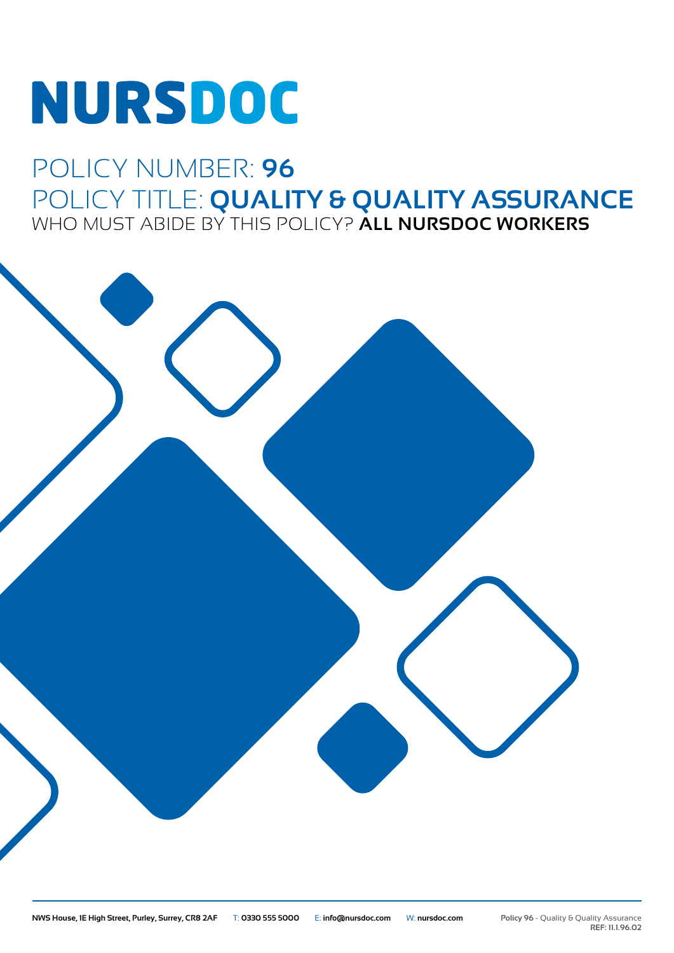# NURSDOC

## POLICY NUMBER: **96** POLICY TITLE: **QUALITY & QUALITY ASSURANCE** WHO MUST ABIDE BY THIS POLICY? **ALL NURSDOC WORKERS**

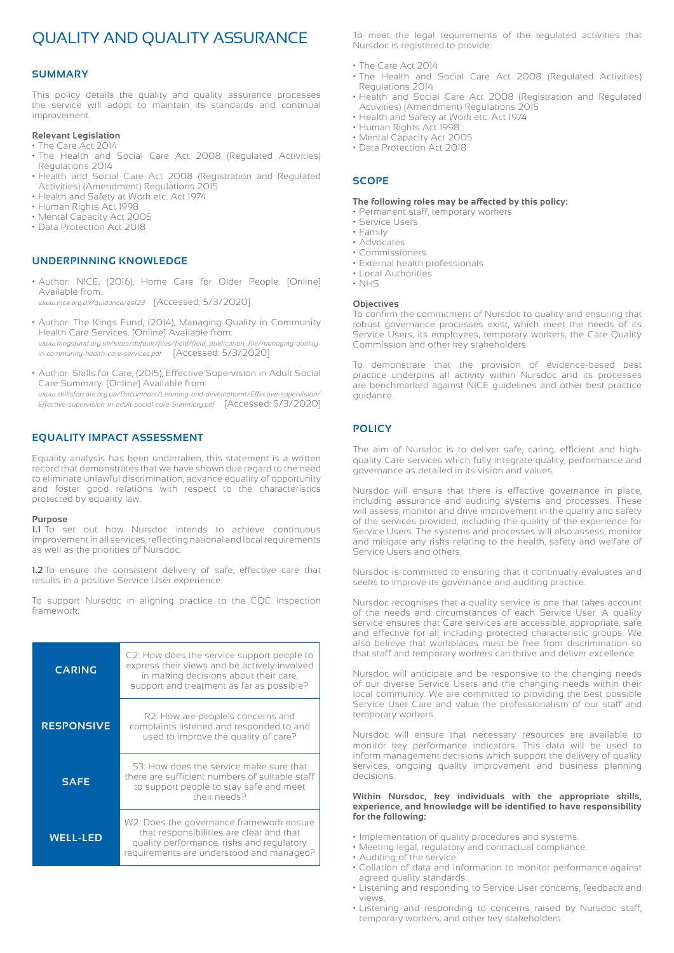### QUALITY AND QUALITY ASSURANCE

#### **SUMMARY**

This policy details the quality and quality assurance processes the service will adopt to maintain its standards and continual improvement.

#### **Relevant Legislation**

- The Care Act 2014 • The Health and Social Care Act 2008 (Regulated Activities) Regulations 2014
- Health and Social Care Act 2008 (Registration and Regulated Activities) (Amendment) Regulations 2015
- Health and Safety at Work etc. Act 1974
- Human Rights Act 1998
- Mental Capacity Act 2005
- Data Protection Act 2018

#### **UNDERPINNING KNOWLEDGE**

• Author: NICE, (2016), Home Care for Older People. [Online] Available from:

*www.nice.org.uk/guidance/qs123* [Accessed: 5/3/2020]

- Author: The Kings Fund, (2014), Managing Quality in Community Health Care Services. [Online] Available from: *www.kingsfund.org.uk/sites/default/files/field/field\_publication\_file/managing-qualityin-community-health-care-services.pdf* [Accessed: 5/3/2020]
- Author: Skills for Care, (2015), Effective Supervision in Adult Social Care Summary. [Online] Available from:

*www.skillsforcare.org.uk/Documents/Learning-and-development/Effective-supervision/ Effective-supervision-in-adult-social-care-Summary.pdf* [Accessed: 5/3/2020]

#### **EQUALITY IMPACT ASSESSMENT**

Equality analysis has been undertaken, this statement is a written record that demonstrates that we have shown due regard to the need to eliminate unlawful discrimination, advance equality of opportunity and foster good relations with respect to the characteristics protected by equality law.

#### **Purpose**

**1.1** To set out how Nursdoc intends to achieve continuous improvement in all services, reflecting national and local requirements as well as the priorities of Nursdoc.

**1.2** To ensure the consistent delivery of safe, effective care that results in a positive Service User experience.

To support Nursdoc in aligning practice to the CQC inspection framework.

| <b>CARING</b>     | C2: How does the service support people to<br>express their views and be actively involved<br>in making decisions about their care,<br>support and treatment as far as possible? |
|-------------------|----------------------------------------------------------------------------------------------------------------------------------------------------------------------------------|
| <b>RESPONSIVE</b> | R2: How are people's concerns and<br>complaints listened and responded to and<br>used to improve the quality of care?                                                            |
| <b>SAFE</b>       | S3: How does the service make sure that<br>there are sufficient numbers of suitable staff<br>to support people to stay safe and meet<br>their needs?                             |
| <b>WELL-LED</b>   | W2: Does the governance framework ensure<br>that responsibilities are clear and that<br>quality performance, risks and regulatory<br>requirements are understood and managed?    |

To meet the legal requirements of the regulated activities that Nursdoc is registered to provide:

- The Care Act 2014
- The Health and Social Care Act 2008 (Regulated Activities) Regulations 2014
- Health and Social Care Act 2008 (Registration and Regulated Activities) (Amendment) Regulations 2015
- Health and Safety at Work etc. Act 1974
- Human Rights Act 1998
- Mental Capacity Act 2005
- Data Protection Act 2018

#### **SCOPE**

#### **The following roles may be affected by this policy:**

- Permanent staff, temporary workers
- Service Users
- Family • Advocates
- Commissioners
- External health professionals
- Local Authorities
- NHS

#### **Objectives**

To confirm the commitment of Nursdoc to quality and ensuring that robust governance processes exist, which meet the needs of its Service Users, its employees, temporary workers, the Care Quality Commission and other key stakeholders.

To demonstrate that the provision of evidence-based best practice underpins all activity within Nursdoc and its processes are benchmarked against NICE guidelines and other best practice guidance.

#### **POLICY**

The aim of Nursdoc is to deliver safe, caring, efficient and highquality Care services which fully integrate quality, performance and governance as detailed in its vision and values.

Nursdoc will ensure that there is effective governance in place, including assurance and auditing systems and processes. These will assess, monitor and drive improvement in the quality and safety of the services provided, including the quality of the experience for Service Users. The systems and processes will also assess, monitor and mitigate any risks relating to the health, safety and welfare of Service Users and others.

Nursdoc is committed to ensuring that it continually evaluates and seeks to improve its governance and auditing practice.

Nursdoc recognises that a quality service is one that takes account of the needs and circumstances of each Service User. A quality service ensures that Care services are accessible, appropriate, safe and effective for all including protected characteristic groups. We also believe that workplaces must be free from discrimination so that staff and temporary workers can thrive and deliver excellence.

Nursdoc will anticipate and be responsive to the changing needs of our diverse Service Users and the changing needs within their local community. We are committed to providing the best possible Service User Care and value the professionalism of our staff and temporary workers.

Nursdoc will ensure that necessary resources are available to monitor key performance indicators. This data will be used to inform management decisions which support the delivery of quality services, ongoing quality improvement and business planning decisions.

#### **Within Nursdoc, key individuals with the appropriate skills, experience, and knowledge will be identified to have responsibility for the following:**

- Implementation of quality procedures and systems.
- Meeting legal, regulatory and contractual compliance.
- Auditing of the service.
- Collation of data and information to monitor performance against agreed quality standards.
- Listening and responding to Service User concerns, feedback and views.
- Listening and responding to concerns raised by Nursdoc staff, temporary workers, and other key stakeholders.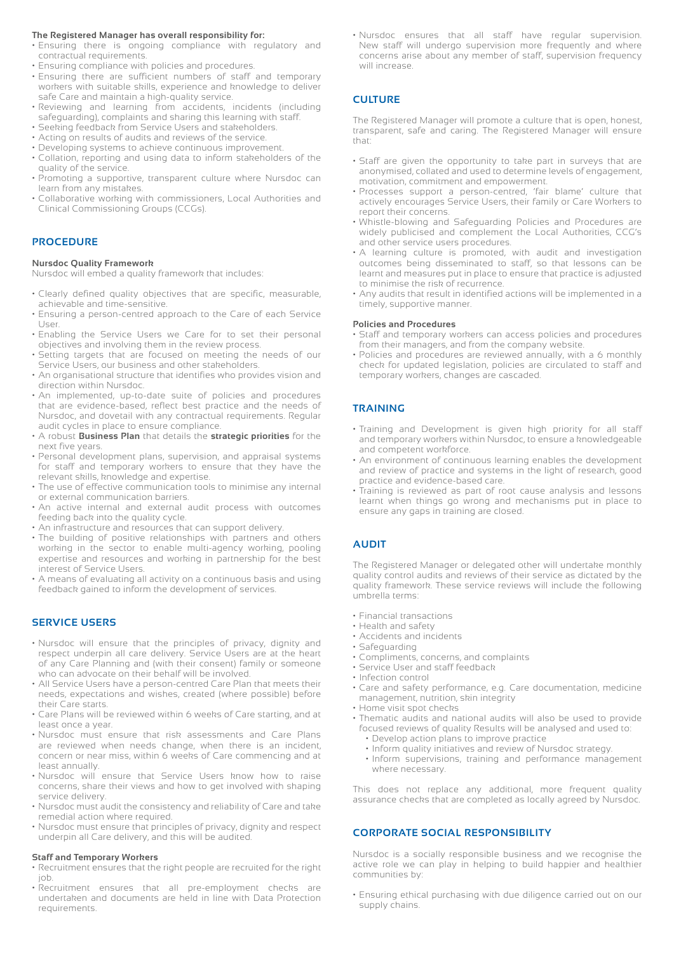#### **The Registered Manager has overall responsibility for:**

- Ensuring there is ongoing compliance with regulatory and contractual requirements.
- Ensuring compliance with policies and procedures.
- Ensuring there are sufficient numbers of staff and temporary workers with suitable skills, experience and knowledge to deliver safe Care and maintain a high-quality service.
- Reviewing and learning from accidents, incidents (including safeguarding), complaints and sharing this learning with staff.
- Seeking feedback from Service Users and stakeholders.
- Acting on results of audits and reviews of the service.
- Developing systems to achieve continuous improvement.
- Collation, reporting and using data to inform stakeholders of the quality of the service.
- Promoting a supportive, transparent culture where Nursdoc can learn from any mistakes.
- Collaborative working with commissioners, Local Authorities and Clinical Commissioning Groups (CCGs).

#### **PROCEDURE**

#### **Nursdoc Quality Framework**

Nursdoc will embed a quality framework that includes:

- Clearly defined quality objectives that are specific, measurable, achievable and time-sensitive.
- Ensuring a person-centred approach to the Care of each Service User.
- Enabling the Service Users we Care for to set their personal objectives and involving them in the review process.
- Setting targets that are focused on meeting the needs of our Service Users, our business and other stakeholders.
- An organisational structure that identifies who provides vision and direction within Nursdoc.
- An implemented, up-to-date suite of policies and procedures that are evidence-based, reflect best practice and the needs of Nursdoc, and dovetail with any contractual requirements. Regular audit cycles in place to ensure compliance.
- A robust **Business Plan** that details the **strategic priorities** for the next five years.
- Personal development plans, supervision, and appraisal systems for staff and temporary workers to ensure that they have the relevant skills, knowledge and expertise.
- The use of effective communication tools to minimise any internal or external communication barriers.
- An active internal and external audit process with outcomes feeding back into the quality cycle.
- An infrastructure and resources that can support delivery.
- The building of positive relationships with partners and others working in the sector to enable multi-agency working, pooling expertise and resources and working in partnership for the best interest of Service Users.
- A means of evaluating all activity on a continuous basis and using feedback gained to inform the development of services.

#### **SERVICE USERS**

- Nursdoc will ensure that the principles of privacy, dignity and respect underpin all care delivery. Service Users are at the heart of any Care Planning and (with their consent) family or someone who can advocate on their behalf will be involved.
- All Service Users have a person-centred Care Plan that meets their needs, expectations and wishes, created (where possible) before their Care starts.
- Care Plans will be reviewed within 6 weeks of Care starting, and at least once a year.
- Nursdoc must ensure that risk assessments and Care Plans are reviewed when needs change, when there is an incident, concern or near miss, within 6 weeks of Care commencing and at least annually.
- Nursdoc will ensure that Service Users know how to raise concerns, share their views and how to get involved with shaping service delivery.
- Nursdoc must audit the consistency and reliability of Care and take remedial action where required.
- Nursdoc must ensure that principles of privacy, dignity and respect underpin all Care delivery, and this will be audited.

#### **Staff and Temporary Workers**

- Recruitment ensures that the right people are recruited for the right job.
- Recruitment ensures that all pre-employment checks are undertaken and documents are held in line with Data Protection requirements.

• Nursdoc ensures that all staff have regular supervision. New staff will undergo supervision more frequently and where concerns arise about any member of staff, supervision frequency will increase

#### **CULTURE**

The Registered Manager will promote a culture that is open, honest, transparent, safe and caring. The Registered Manager will ensure that:

- Staff are given the opportunity to take part in surveys that are anonymised, collated and used to determine levels of engagement, motivation, commitment and empowerment.
- Processes support a person-centred, 'fair blame' culture that actively encourages Service Users, their family or Care Workers to report their concerns.
- Whistle-blowing and Safeguarding Policies and Procedures are widely publicised and complement the Local Authorities, CCG's and other service users procedures.
- A learning culture is promoted, with audit and investigation outcomes being disseminated to staff, so that lessons can be learnt and measures put in place to ensure that practice is adjusted to minimise the risk of recurrence.
- Any audits that result in identified actions will be implemented in a timely, supportive manner.

#### **Policies and Procedures**

- Staff and temporary workers can access policies and procedures from their managers, and from the company website.
- Policies and procedures are reviewed annually, with a 6 monthly check for updated legislation, policies are circulated to staff and temporary workers, changes are cascaded.

#### **TRAINING**

- Training and Development is given high priority for all staff and temporary workers within Nursdoc, to ensure a knowledgeable and competent workforce.
- An environment of continuous learning enables the development and review of practice and systems in the light of research, good practice and evidence-based care.
- Training is reviewed as part of root cause analysis and lessons learnt when things go wrong and mechanisms put in place to ensure any gaps in training are closed.

#### **AUDIT**

The Registered Manager or delegated other will undertake monthly quality control audits and reviews of their service as dictated by the quality framework. These service reviews will include the following umbrella terms:

- Financial transactions
- Health and safety
- Accidents and incidents
- Safeguarding
- Compliments, concerns, and complaints
- Service User and staff feedback
- Infection control
- Care and safety performance, e.g. Care documentation, medicine management, nutrition, skin integrity
- Home visit spot checks
- Thematic audits and national audits will also be used to provide focused reviews of quality Results will be analysed and used to:
	- Develop action plans to improve practice
	- Inform quality initiatives and review of Nursdoc strategy.
	- Inform supervisions, training and performance management where necessary.

This does not replace any additional, more frequent quality assurance checks that are completed as locally agreed by Nursdoc.

#### **CORPORATE SOCIAL RESPONSIBILITY**

Nursdoc is a socially responsible business and we recognise the active role we can play in helping to build happier and healthier communities by:

• Ensuring ethical purchasing with due diligence carried out on our supply chains.